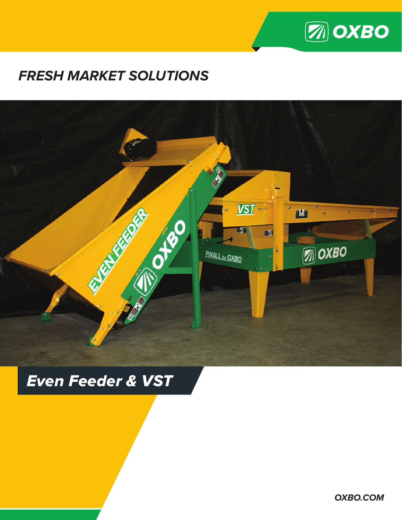

### **FRESH MARKET SOLUTIONS**



## **Even Feeder & VST**

**OXBO.COM**